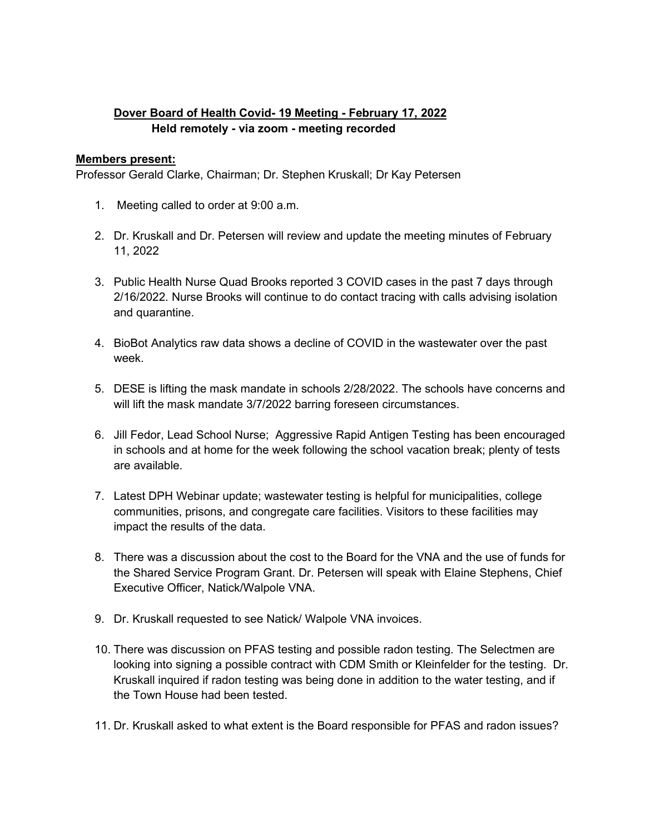## **Dover Board of Health Covid- 19 Meeting - February 17, 2022 Held remotely - via zoom - meeting recorded**

## **Members present:**

Professor Gerald Clarke, Chairman; Dr. Stephen Kruskall; Dr [Kay Petersen](mailto:kpetersen@doverma.gov)

- 1. Meeting called to order at 9:00 a.m.
- 2. Dr. Kruskall and Dr. Petersen will review and update the meeting minutes of February 11, 2022
- 3. Public Health Nurse Quad Brooks reported 3 COVID cases in the past 7 days through 2/16/2022. Nurse Brooks will continue to do contact tracing with calls advising isolation and quarantine.
- 4. BioBot Analytics raw data shows a decline of COVID in the wastewater over the past week.
- 5. DESE is lifting the mask mandate in schools 2/28/2022. The schools have concerns and will lift the mask mandate 3/7/2022 barring foreseen circumstances.
- 6. Jill Fedor, Lead School Nurse; Aggressive Rapid Antigen Testing has been encouraged in schools and at home for the week following the school vacation break; plenty of tests are available.
- 7. Latest DPH Webinar update; wastewater testing is helpful for municipalities, college communities, prisons, and congregate care facilities. Visitors to these facilities may impact the results of the data.
- 8. There was a discussion about the cost to the Board for the VNA and the use of funds for the Shared Service Program Grant. Dr. Petersen will speak with Elaine Stephens, Chief Executive Officer, Natick/Walpole VNA.
- 9. Dr. Kruskall requested to see Natick/ Walpole VNA invoices.
- 10. There was discussion on PFAS testing and possible radon testing. The Selectmen are looking into signing a possible contract with CDM Smith or Kleinfelder for the testing. Dr. Kruskall inquired if radon testing was being done in addition to the water testing, and if the Town House had been tested.
- 11. Dr. Kruskall asked to what extent is the Board responsible for PFAS and radon issues?